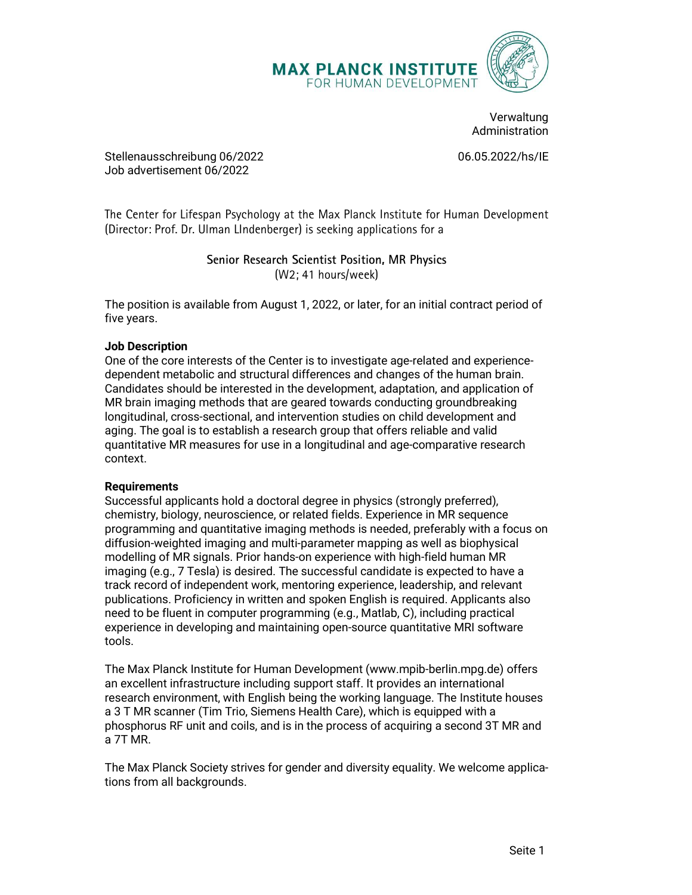

Verwaltung Administration

Job advertisement 06/2022

The Center for Lifespan Psychology at the Max Planck Institute for Human Development (Director: Prof. Dr. Ulman LIndenberger) is seeking applications for a

five years.

## Job Description

CONET CHUMAN DEVELOPMENT<br>
COR HUMAN DEVELOPMENT<br>
ONE Administration<br>
Stellenausschreibung 06/2022<br>
Ob advertisement to /2022<br>
The Center for Lifespan Psychology at the Max Planck Institute for Human Development<br>
(Director: dependent metabolic and structural differences and changes of the human brain. Candidates should be interested in the development, adaptation, and application of Martinians (Stellenausschreibung 06/2022<br>
Martinistration<br>
Job advertisement 06/2022<br>
Job advertisement 06/2022<br>
The Center for Lifespan Psychology at the Max Planck Institute for Human Development<br>
IDirector: Prof. Dr. Ul Administration<br>
3.6 delenausschreibung 06/2022<br>
Job advertisement 06/2022<br>
Job advertisement 06/2022<br>
The Center for Lifespan Psychology at the Max Planck Institute for Human Development<br>
Director: Prof. Dr. Ulman Lindenbe aging. The goal is to establish a research group that offers reliable and valid Selein Hausschriedung (1972022 1982)<br>
Underdiscontinuous (1972022 1982)<br>
The Center for Lifespan Psychology at the Max Planck Institute for Human Development<br>
(Director: Prof. Dr. Ulman Underherger) is seeking applications context.

## **Requirements**

Successful applicants hold a doctoral degree in physics (strongly preferred), chemistry, biology, neuroscience, or related fields. Experience in MR sequence Senior Research Scientist Position, MR Physics<br>
(W2; 41 hours/week)<br>
The position is available from August 1, 2022, or later, for an initial contract period of<br>
five years.<br>
One of the core interests of the Center is to in Senior Research Scientist Position, MR Physics<br>
(W2: 41 hours/week)<br>
(W2: 41 hours/week)<br>
five years.<br>
Job Description<br>
One of the core interests of the Center is to investigate age-related and experience-<br>
Job Description modelling of MR signals. Prior hands-on experience with high-field human MR imaging (e.g., 7 Tesla) is desired. The successful candidate is expected to have a The position is available from August 1, 2022, or later, for an initial contract period of<br>The Description<br>One of the core interests of the Center is to investigate age-related and experience-<br>dependent metabolic and struc five years.<br>
olo Description<br>
On Description<br>
One of the core interests of the Center is to investigate age-related and experience-<br>
dependent metabolic and structural differences and changes of the human brain.<br>
Candidate **Job Description**<br> **Job Description**<br>
One of the core interasbotic and structural differences and changes of the human branch<br>
dependent metabolic and structural differences and changes of the human branch<br>
Candidates shou experience in developing and maintaining open-source quantitative MRI software tools.

The Max Planck Institute for Human Development (www.mpib-berlin.mpg.de) offers an excellent infrastructure including support staff. It provides an international research environment, with English being the working language. The Institute houses a 3 T MR scanner (Tim Trio, Siemens Health Care), which is equipped with a phosphorus RF unit and coils, and is in the process of acquiring a second 3T MR and a 7T MR.

The Max Planck Society strives for gender and diversity equality. We welcome applications from all backgrounds.